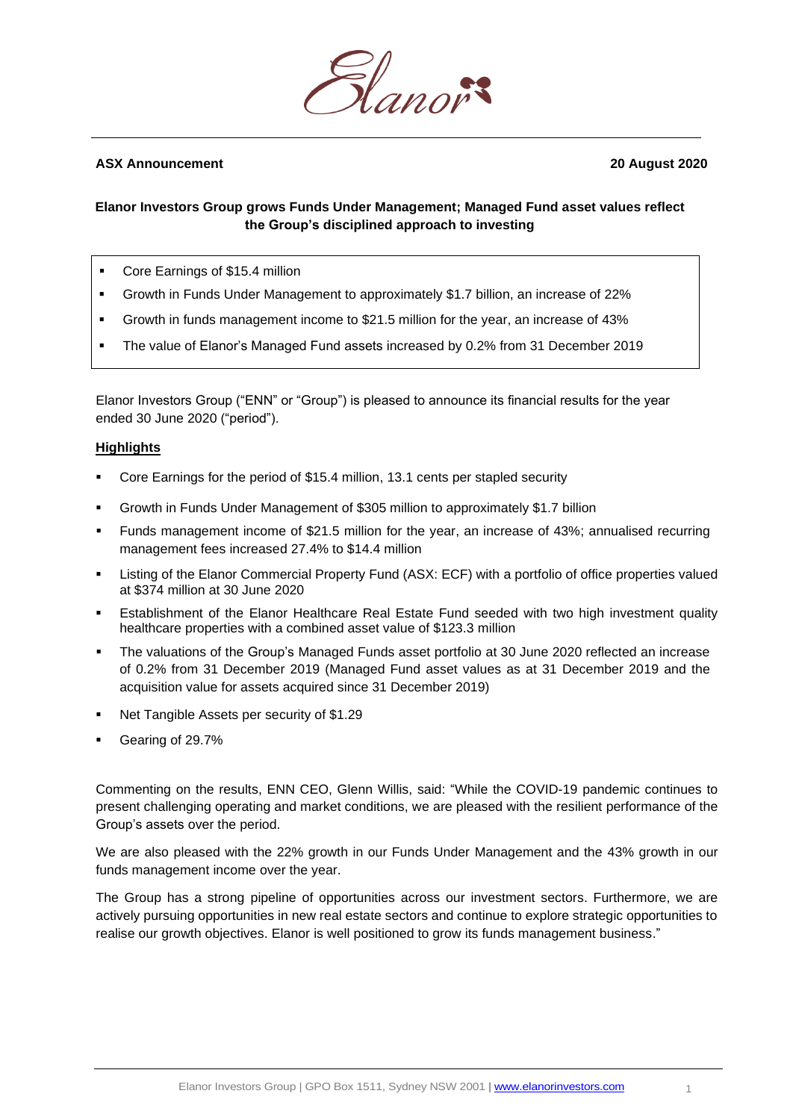

# **ASX Announcement 20 August 2020**

# **Elanor Investors Group grows Funds Under Management; Managed Fund asset values reflect the Group's disciplined approach to investing**

- Core Earnings of \$15.4 million
- Growth in Funds Under Management to approximately \$1.7 billion, an increase of 22%
- Growth in funds management income to \$21.5 million for the year, an increase of 43%
- The value of Elanor's Managed Fund assets increased by 0.2% from 31 December 2019

Elanor Investors Group ("ENN" or "Group") is pleased to announce its financial results for the year ended 30 June 2020 ("period").

### **Highlights**

- Core Earnings for the period of \$15.4 million, 13.1 cents per stapled security
- Growth in Funds Under Management of \$305 million to approximately \$1.7 billion
- Funds management income of \$21.5 million for the year, an increase of 43%; annualised recurring management fees increased 27.4% to \$14.4 million
- Listing of the Elanor Commercial Property Fund (ASX: ECF) with a portfolio of office properties valued at \$374 million at 30 June 2020
- Establishment of the Elanor Healthcare Real Estate Fund seeded with two high investment quality healthcare properties with a combined asset value of \$123.3 million
- **The valuations of the Group's Managed Funds asset portfolio at 30 June 2020 reflected an increase** of 0.2% from 31 December 2019 (Managed Fund asset values as at 31 December 2019 and the acquisition value for assets acquired since 31 December 2019)
- Net Tangible Assets per security of \$1.29
- Gearing of 29.7%

Commenting on the results, ENN CEO, Glenn Willis, said: "While the COVID-19 pandemic continues to present challenging operating and market conditions, we are pleased with the resilient performance of the Group's assets over the period.

We are also pleased with the 22% growth in our Funds Under Management and the 43% growth in our funds management income over the year.

The Group has a strong pipeline of opportunities across our investment sectors. Furthermore, we are actively pursuing opportunities in new real estate sectors and continue to explore strategic opportunities to realise our growth objectives. Elanor is well positioned to grow its funds management business."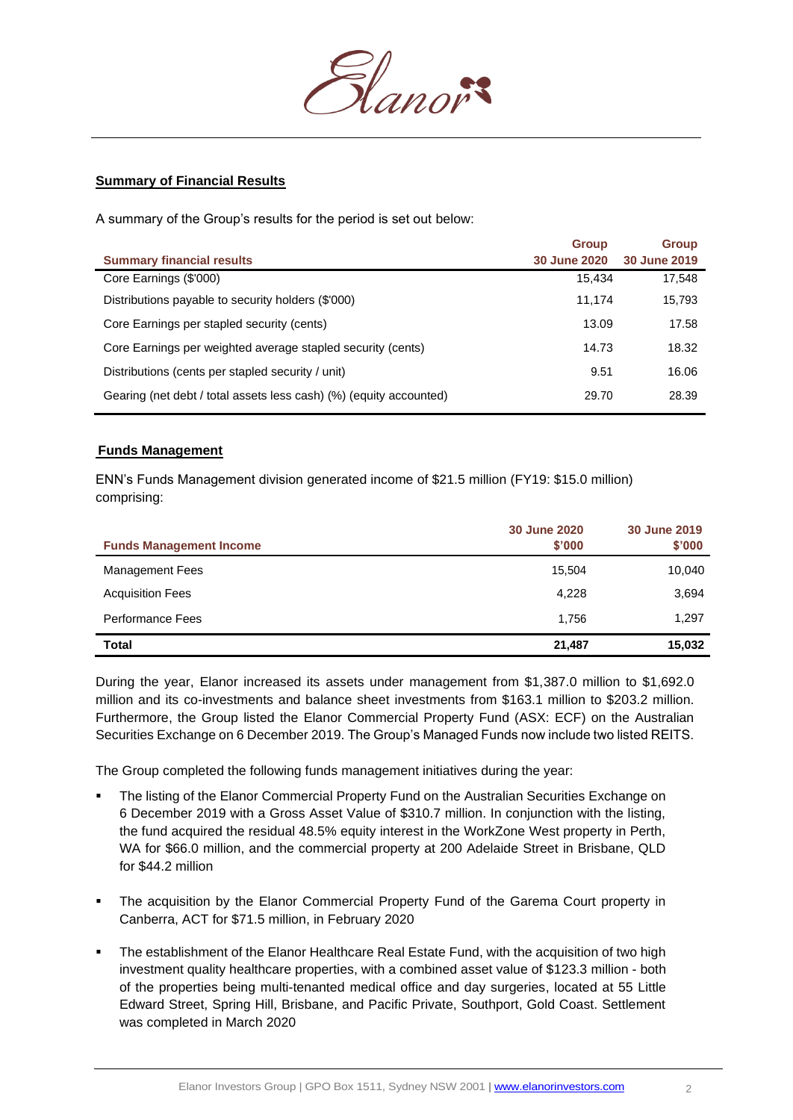

# **Summary of Financial Results**

A summary of the Group's results for the period is set out below:

| <b>Group</b>        | <b>Group</b> |
|---------------------|--------------|
| <b>30 June 2020</b> | 30 June 2019 |
| 15.434              | 17,548       |
| 11.174              | 15,793       |
| 13.09               | 17.58        |
| 14.73               | 18.32        |
| 9.51                | 16.06        |
| 29.70               | 28.39        |
|                     |              |

### **Funds Management**

ENN's Funds Management division generated income of \$21.5 million (FY19: \$15.0 million) comprising:

|                                | 30 June 2020 | 30 June 2019 |
|--------------------------------|--------------|--------------|
| <b>Funds Management Income</b> | \$'000       | \$'000       |
| <b>Management Fees</b>         | 15,504       | 10,040       |
| <b>Acquisition Fees</b>        | 4,228        | 3,694        |
| <b>Performance Fees</b>        | 1,756        | 1,297        |
| Total                          | 21,487       | 15,032       |

During the year, Elanor increased its assets under management from \$1,387.0 million to \$1,692.0 million and its co-investments and balance sheet investments from \$163.1 million to \$203.2 million. Furthermore, the Group listed the Elanor Commercial Property Fund (ASX: ECF) on the Australian Securities Exchange on 6 December 2019. The Group's Managed Funds now include two listed REITS.

The Group completed the following funds management initiatives during the year:

- The listing of the Elanor Commercial Property Fund on the Australian Securities Exchange on 6 December 2019 with a Gross Asset Value of \$310.7 million. In conjunction with the listing, the fund acquired the residual 48.5% equity interest in the WorkZone West property in Perth, WA for \$66.0 million, and the commercial property at 200 Adelaide Street in Brisbane, QLD for \$44.2 million
- **•** The acquisition by the Elanor Commercial Property Fund of the Garema Court property in Canberra, ACT for \$71.5 million, in February 2020
- **•** The establishment of the Elanor Healthcare Real Estate Fund, with the acquisition of two high investment quality healthcare properties, with a combined asset value of \$123.3 million - both of the properties being multi-tenanted medical office and day surgeries, located at 55 Little Edward Street, Spring Hill, Brisbane, and Pacific Private, Southport, Gold Coast. Settlement was completed in March 2020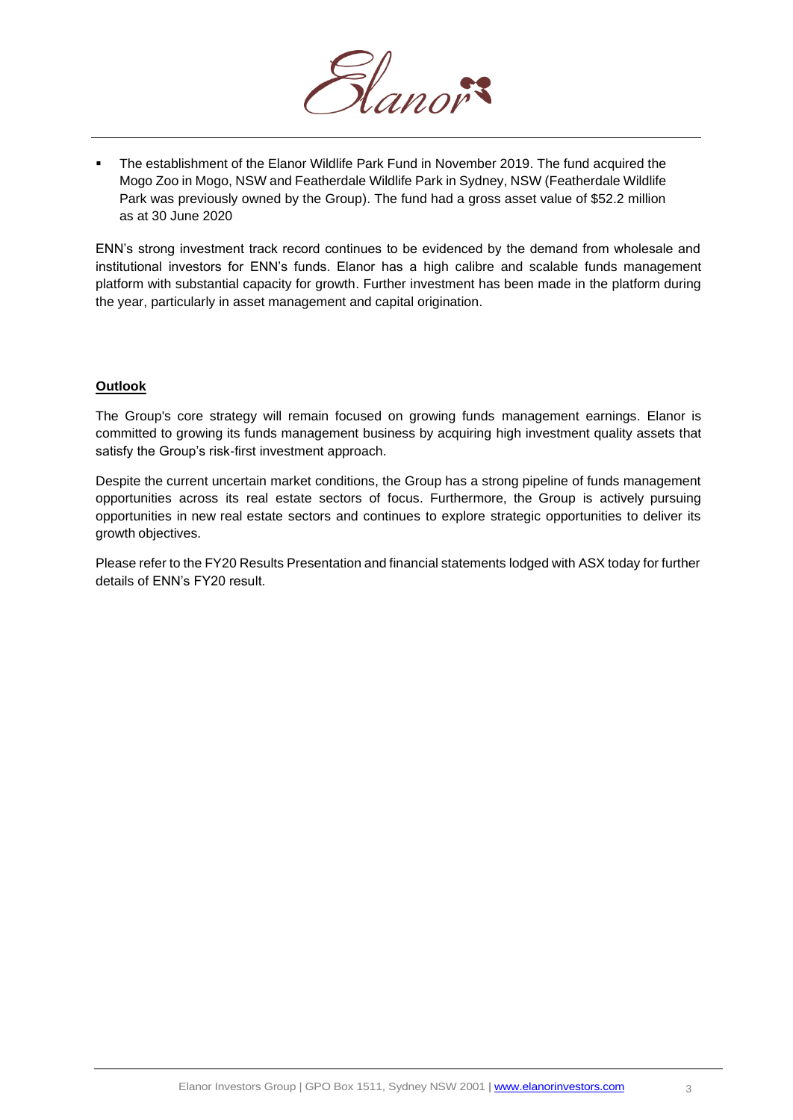

The establishment of the Elanor Wildlife Park Fund in November 2019. The fund acquired the Mogo Zoo in Mogo, NSW and Featherdale Wildlife Park in Sydney, NSW (Featherdale Wildlife Park was previously owned by the Group). The fund had a gross asset value of \$52.2 million as at 30 June 2020

ENN's strong investment track record continues to be evidenced by the demand from wholesale and institutional investors for ENN's funds. Elanor has a high calibre and scalable funds management platform with substantial capacity for growth. Further investment has been made in the platform during the year, particularly in asset management and capital origination.

# **Outlook**

The Group's core strategy will remain focused on growing funds management earnings. Elanor is committed to growing its funds management business by acquiring high investment quality assets that satisfy the Group's risk-first investment approach.

Despite the current uncertain market conditions, the Group has a strong pipeline of funds management opportunities across its real estate sectors of focus. Furthermore, the Group is actively pursuing opportunities in new real estate sectors and continues to explore strategic opportunities to deliver its growth objectives.

Please refer to the FY20 Results Presentation and financial statements lodged with ASX today for further details of ENN's FY20 result.